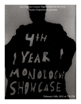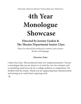*THEATRE THIEVES PRODUCTIONS PROUDLY PRESENTS:*

# **4th Year Monologue Showcase**

# **Directed by Jeremy Guskin & The Theatre Department Senior Class**

*Please be advised this production contains some mature themes and language.*

## **Directors Note:**

I adore this class. This production had very simple parameters: Choose a monologue that you are drawn to, it must be over two minutes, and is something you'd never do for a college audition or competition. I'm thrilled with the results. Thank you for supporting these talented artists and joining us to watch their inspiring work. -jg.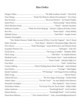# **Run Order:**

| McKenzie Franklin "While You Were Sleeping" - Daniel G. Sullivan & Fredric Lebow        |
|-----------------------------------------------------------------------------------------|
|                                                                                         |
|                                                                                         |
|                                                                                         |
| "The Cliched, However Totally False Account Of How I Lost My Virginity" - Bert V. Royal |
|                                                                                         |
|                                                                                         |
|                                                                                         |
|                                                                                         |
|                                                                                         |
|                                                                                         |
|                                                                                         |
|                                                                                         |
|                                                                                         |
|                                                                                         |
|                                                                                         |
|                                                                                         |
|                                                                                         |
|                                                                                         |
|                                                                                         |
|                                                                                         |
|                                                                                         |
|                                                                                         |
| Emma Rose Maloney  "1 Star Amazon Review" - Luke_seeyouinhellgummybears25               |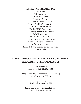### **A SPECIAL THANKS TO:**

Lois Hunter Allison Andreas Lorelei McCollough Jonathan Dhauw The Entire Theatre Faculty Theatre Families & Supporters LACHSA Administration The LACHSA Foundation LA County Board of Supervisors BCM Foundation Well Why Not Foundation William C. Bannerman Foundation Ralph M. Parsons Foundation California Arts Council Kenneth T. and Eileen Norris Foundation Broccoli Foundation

## **MARK YOUR CALENDAR FOR THE UPCOMING THEATRICAL PERFORMANCES**

*Third Year Project*  Feburary 26th, 2021 at 7:30 PM

Spring Season Play - *Murder at the Chili Cook Off* March 5th, 2021 at 7:30 PM

> *Second Year Project* March 26th, 2021 at 7:30 PM

Spring Season Play - *The Bald Soprano* April 9th, 2021 at 7:30 PM